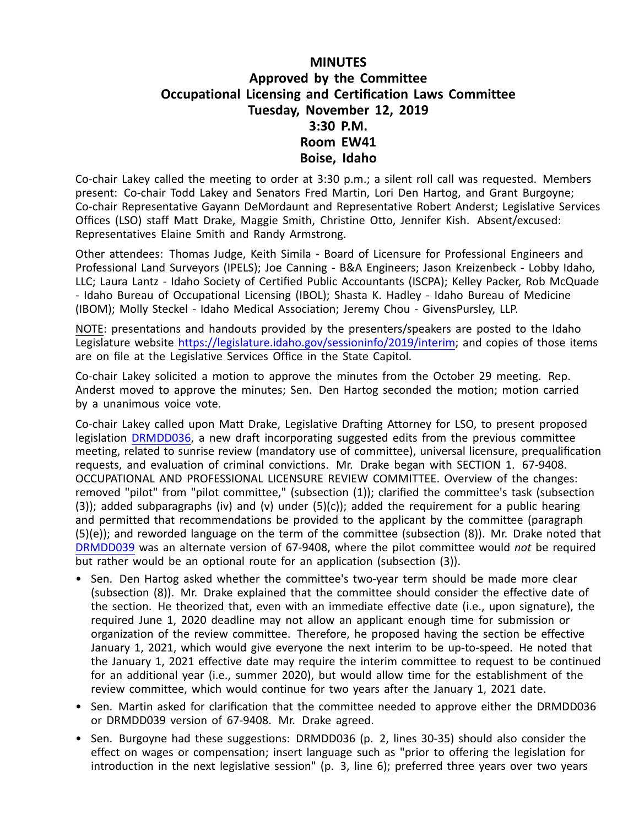## **MINUTES Approved by the Committee Occupational Licensing and Certification Laws Committee Tuesday, November 12, 2019 3:30 P.M. Room EW41 Boise, Idaho**

Co-chair Lakey called the meeting to order at 3:30 p.m.; <sup>a</sup> silent roll call was requested. Members present: Co-chair Todd Lakey and Senators Fred Martin, Lori Den Hartog, and Grant Burgoyne; Co-chair Representative Gayann DeMordaunt and Representative Robert Anderst; Legislative Services Offices (LSO) staff Matt Drake, Maggie Smith, Christine Otto, Jennifer Kish. Absent/excused: Representatives Elaine Smith and Randy Armstrong.

Other attendees: Thomas Judge, Keith Simila - Board of Licensure for Professional Engineers and Professional Land Surveyors (IPELS); Joe Canning - B&A Engineers; Jason Kreizenbeck - Lobby Idaho, LLC; Laura Lantz - Idaho Society of Certified Public Accountants (ISCPA); Kelley Packer, Rob McQuade - Idaho Bureau of Occupational Licensing (IBOL); Shasta K. Hadley - Idaho Bureau of Medicine (IBOM); Molly Steckel - Idaho Medical Association; Jeremy Chou - GivensPursley, LLP.

NOTE: presentations and handouts provided by the presenters/speakers are posted to the Idaho Legislature website [https://legislature.idaho.gov/sessioninfo/2019/interim](https://legislature.idaho.gov/sessioninfo/2019/interim/olcl/); and copies of those items are on file at the Legislative Services Office in the State Capitol.

Co-chair Lakey solicited <sup>a</sup> motion to approve the minutes from the October 29 meeting. Rep. Anderst moved to approve the minutes; Sen. Den Hartog seconded the motion; motion carried by <sup>a</sup> unanimous voice vote.

Co-chair Lakey called upon Matt Drake, Legislative Drafting Attorney for LSO, to present proposed legislation [DRMDD036](https://legislature.idaho.gov/wp-content/uploads/sessioninfo/2019/interim/191112_olcl_MDD036 - Revised Committee Draft - Mandatory Sunrise Review Language.pdf), <sup>a</sup> new draft incorporating suggested edits from the previous committee meeting, related to sunrise review (mandatory use of committee), universal licensure, prequalification requests, and evaluation of criminal convictions. Mr. Drake began with SECTION 1. 67-9408. OCCUPATIONAL AND PROFESSIONAL LICENSURE REVIEW COMMITTEE. Overview of the changes: removed "pilot" from "pilot committee," (subsection (1)); clarified the committee's task (subsection  $(3)$ ); added subparagraphs (iv) and (v) under  $(5)(c)$ ); added the requirement for a public hearing and permitted that recommendations be provided to the applicant by the committee (paragraph (5)(e)); and reworded language on the term of the committee (subsection (8)). Mr. Drake noted that [DRMDD039](https://legislature.idaho.gov/wp-content/uploads/sessioninfo/2019/interim/191112_olcl_MDD039 - Alternate Draft with Non-Mandatory Language.pdf) was an alternate version of 67-9408, where the pilot committee would *not* be required but rather would be an optional route for an application (subsection (3)).

- Sen. Den Hartog asked whether the committee's two-year term should be made more clear (subsection (8)). Mr. Drake explained that the committee should consider the effective date of the section. He theorized that, even with an immediate effective date (i.e., upon signature), the required June 1, 2020 deadline may not allow an applicant enough time for submission or organization of the review committee. Therefore, he proposed having the section be effective January 1, 2021, which would give everyone the next interim to be up-to-speed. He noted that the January 1, 2021 effective date may require the interim committee to request to be continued for an additional year (i.e., summer 2020), but would allow time for the establishment of the review committee, which would continue for two years after the January 1, 2021 date.
- Sen. Martin asked for clarification that the committee needed to approve either the DRMDD036 or DRMDD039 version of 67-9408. Mr. Drake agreed.
- Sen. Burgoyne had these suggestions: DRMDD036 (p. 2, lines 30-35) should also consider the effect on wages or compensation; insert language such as "prior to offering the legislation for introduction in the next legislative session" (p. 3, line 6); preferred three years over two years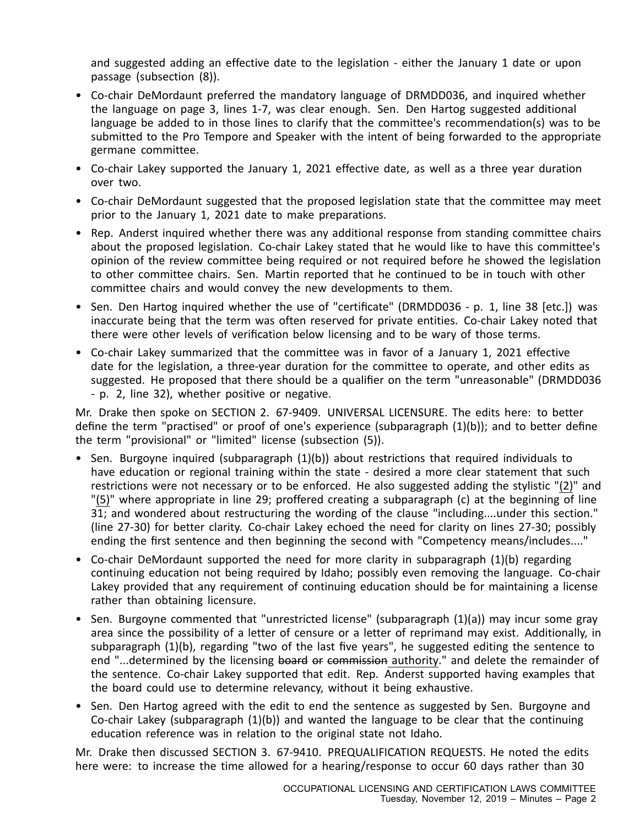and suggested adding an effective date to the legislation - either the January 1 date or upon passage (subsection (8)).

- Co-chair DeMordaunt preferred the mandatory language of DRMDD036, and inquired whether the language on page 3, lines 1-7, was clear enough. Sen. Den Hartog suggested additional language be added to in those lines to clarify that the committee's recommendation(s) was to be submitted to the Pro Tempore and Speaker with the intent of being forwarded to the appropriate germane committee.
- Co-chair Lakey supported the January 1, 2021 effective date, as well as <sup>a</sup> three year duration over two.
- Co-chair DeMordaunt suggested that the proposed legislation state that the committee may meet prior to the January 1, 2021 date to make preparations.
- Rep. Anderst inquired whether there was any additional response from standing committee chairs about the proposed legislation. Co-chair Lakey stated that he would like to have this committee's opinion of the review committee being required or not required before he showed the legislation to other committee chairs. Sen. Martin reported that he continued to be in touch with other committee chairs and would convey the new developments to them.
- Sen. Den Hartog inquired whether the use of "certificate" (DRMDD036 p. 1, line 38 [etc.]) was inaccurate being that the term was often reserved for private entities. Co-chair Lakey noted that there were other levels of verification below licensing and to be wary of those terms.
- Co-chair Lakey summarized that the committee was in favor of <sup>a</sup> January 1, 2021 effective date for the legislation, <sup>a</sup> three-year duration for the committee to operate, and other edits as suggested. He proposed that there should be <sup>a</sup> qualifier on the term "unreasonable" (DRMDD036 - p. 2, line 32), whether positive or negative.

Mr. Drake then spoke on SECTION 2. 67-9409. UNIVERSAL LICENSURE. The edits here: to better define the term "practised" or proof of one's experience (subparagraph (1)(b)); and to better define the term "provisional" or "limited" license (subsection (5)).

- Sen. Burgoyne inquired (subparagraph (1)(b)) about restrictions that required individuals to have education or regional training within the state - desired a more clear statement that such restrictions were not necessary or to be enforced. He also suggested adding the stylistic "(2)" and "(5)" where appropriate in line 29; proffered creating <sup>a</sup> subparagraph (c) at the beginning of line 31; and wondered about restructuring the wording of the clause "including....under this section." (line 27-30) for better clarity. Co-chair Lakey echoed the need for clarity on lines 27-30; possibly ending the first sentence and then beginning the second with "Competency means/includes...."
- Co-chair DeMordaunt supported the need for more clarity in subparagraph (1)(b) regarding continuing education not being required by Idaho; possibly even removing the language. Co-chair Lakey provided that any requirement of continuing education should be for maintaining <sup>a</sup> license rather than obtaining licensure.
- Sen. Burgoyne commented that "unrestricted license" (subparagraph (1)(a)) may incur some gray area since the possibility of <sup>a</sup> letter of censure or <sup>a</sup> letter of reprimand may exist. Additionally, in subparagraph (1)(b), regarding "two of the last five years", he suggested editing the sentence to end "...determined by the licensing board or commission authority." and delete the remainder of the sentence. Co-chair Lakey supported that edit. Rep. Anderst supported having examples that the board could use to determine relevancy, without it being exhaustive.
- Sen. Den Hartog agreed with the edit to end the sentence as suggested by Sen. Burgoyne and Co-chair Lakey (subparagraph  $(1)(b)$ ) and wanted the language to be clear that the continuing education reference was in relation to the original state not Idaho.

Mr. Drake then discussed SECTION 3. 67-9410. PREQUALIFICATION REQUESTS. He noted the edits here were: to increase the time allowed for a hearing/response to occur 60 days rather than 30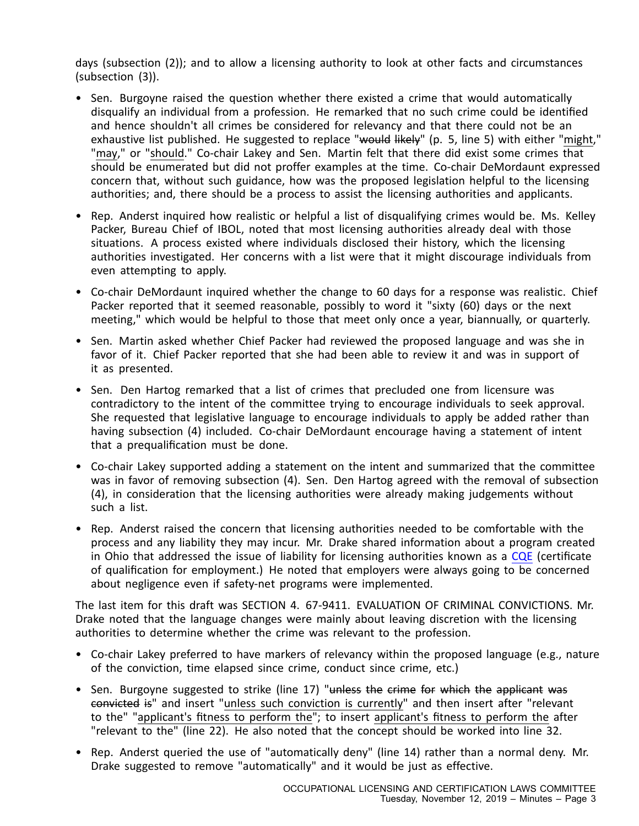days (subsection (2)); and to allow <sup>a</sup> licensing authority to look at other facts and circumstances (subsection (3)).

- Sen. Burgoyne raised the question whether there existed <sup>a</sup> crime that would automatically disqualify an individual from <sup>a</sup> profession. He remarked that no such crime could be identified and hence shouldn't all crimes be considered for relevancy and that there could not be an exhaustive list published. He suggested to replace "would likely" (p. 5, line 5) with either "might," "may," or "should." Co-chair Lakey and Sen. Martin felt that there did exist some crimes that should be enumerated but did not proffer examples at the time. Co-chair DeMordaunt expressed concern that, without such guidance, how was the proposed legislation helpful to the licensing authorities; and, there should be <sup>a</sup> process to assist the licensing authorities and applicants.
- Rep. Anderst inquired how realistic or helpful <sup>a</sup> list of disqualifying crimes would be. Ms. Kelley Packer, Bureau Chief of IBOL, noted that most licensing authorities already deal with those situations. A process existed where individuals disclosed their history, which the licensing authorities investigated. Her concerns with <sup>a</sup> list were that it might discourage individuals from even attempting to apply.
- Co-chair DeMordaunt inquired whether the change to 60 days for <sup>a</sup> response was realistic. Chief Packer reported that it seemed reasonable, possibly to word it "sixty (60) days or the next meeting," which would be helpful to those that meet only once <sup>a</sup> year, biannually, or quarterly.
- Sen. Martin asked whether Chief Packer had reviewed the proposed language and was she in favor of it. Chief Packer reported that she had been able to review it and was in support of it as presented.
- Sen. Den Hartog remarked that <sup>a</sup> list of crimes that precluded one from licensure was contradictory to the intent of the committee trying to encourage individuals to seek approval. She requested that legislative language to encourage individuals to apply be added rather than having subsection (4) included. Co-chair DeMordaunt encourage having <sup>a</sup> statement of intent that <sup>a</sup> prequalification must be done.
- Co-chair Lakey supported adding <sup>a</sup> statement on the intent and summarized that the committee was in favor of removing subsection (4). Sen. Den Hartog agreed with the removal of subsection (4), in consideration that the licensing authorities were already making judgements without such a list.
- Rep. Anderst raised the concern that licensing authorities needed to be comfortable with the process and any liability they may incur. Mr. Drake shared information about <sup>a</sup> program created in Ohio that addressed the issue of liability for licensing authorities known as <sup>a</sup> [CQE](https://legislature.idaho.gov/wp-content/uploads/sessioninfo/2019/interim/191112_olcl_Ohio CQE_information.pdf) (certificate of qualification for employment.) He noted that employers were always going to be concerned about negligence even if safety-net programs were implemented.

The last item for this draft was SECTION 4. 67-9411. EVALUATION OF CRIMINAL CONVICTIONS. Mr. Drake noted that the language changes were mainly about leaving discretion with the licensing authorities to determine whether the crime was relevant to the profession.

- Co-chair Lakey preferred to have markers of relevancy within the proposed language (e.g., nature of the conviction, time elapsed since crime, conduct since crime, etc.)
- Sen. Burgoyne suggested to strike (line 17) "<del>unless the crime for which the applicant was</del> convicted is" and insert "unless such conviction is currently" and then insert after "relevant to the" "applicant's fitness to perform the"; to insert applicant's fitness to perform the after "relevant to the" (line 22). He also noted that the concept should be worked into line 32.
- Rep. Anderst queried the use of "automatically deny" (line 14) rather than <sup>a</sup> normal deny. Mr. Drake suggested to remove "automatically" and it would be just as effective.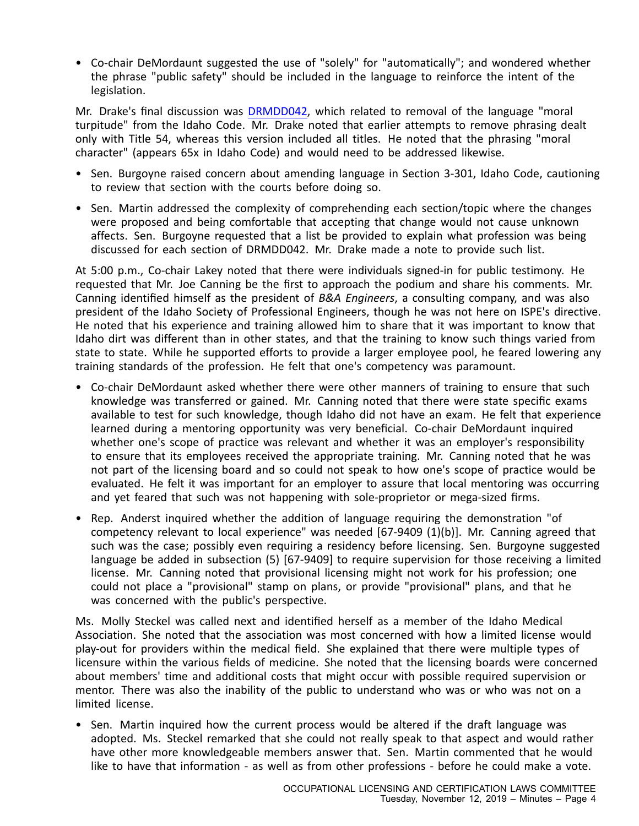• Co-chair DeMordaunt suggested the use of "solely" for "automatically"; and wondered whether the phrase "public safety" should be included in the language to reinforce the intent of the legislation.

Mr. Drake's final discussion was [DRMDD042,](https://legislature.idaho.gov/wp-content/uploads/sessioninfo/2019/interim/191112_olcl_MDD042 - removal of moral turpitude language from Idaho Code.pdf) which related to removal of the language "moral turpitude" from the Idaho Code. Mr. Drake noted that earlier attempts to remove phrasing dealt only with Title 54, whereas this version included all titles. He noted that the phrasing "moral character" (appears 65x in Idaho Code) and would need to be addressed likewise.

- Sen. Burgoyne raised concern about amending language in Section 3-301, Idaho Code, cautioning to review that section with the courts before doing so.
- Sen. Martin addressed the complexity of comprehending each section/topic where the changes were proposed and being comfortable that accepting that change would not cause unknown affects. Sen. Burgoyne requested that <sup>a</sup> list be provided to explain what profession was being discussed for each section of DRMDD042. Mr. Drake made <sup>a</sup> note to provide such list.

At 5:00 p.m., Co-chair Lakey noted that there were individuals signed-in for public testimony. He requested that Mr. Joe Canning be the first to approach the podium and share his comments. Mr. Canning identified himself as the president of *B&A Engineers*, <sup>a</sup> consulting company, and was also president of the Idaho Society of Professional Engineers, though he was not here on ISPE's directive. He noted that his experience and training allowed him to share that it was important to know that Idaho dirt was different than in other states, and that the training to know such things varied from state to state. While he supported efforts to provide <sup>a</sup> larger employee pool, he feared lowering any training standards of the profession. He felt that one's competency was paramount.

- Co-chair DeMordaunt asked whether there were other manners of training to ensure that such knowledge was transferred or gained. Mr. Canning noted that there were state specific exams available to test for such knowledge, though Idaho did not have an exam. He felt that experience learned during <sup>a</sup> mentoring opportunity was very beneficial. Co-chair DeMordaunt inquired whether one's scope of practice was relevant and whether it was an employer's responsibility to ensure that its employees received the appropriate training. Mr. Canning noted that he was not part of the licensing board and so could not speak to how one's scope of practice would be evaluated. He felt it was important for an employer to assure that local mentoring was occurring and yet feared that such was not happening with sole-proprietor or mega-sized firms.
- Rep. Anderst inquired whether the addition of language requiring the demonstration "of competency relevant to local experience" was needed [67-9409 (1)(b)]. Mr. Canning agreed that such was the case; possibly even requiring <sup>a</sup> residency before licensing. Sen. Burgoyne suggested language be added in subsection (5) [67-9409] to require supervision for those receiving <sup>a</sup> limited license. Mr. Canning noted that provisional licensing might not work for his profession; one could not place <sup>a</sup> "provisional" stamp on plans, or provide "provisional" plans, and that he was concerned with the public's perspective.

Ms. Molly Steckel was called next and identified herself as <sup>a</sup> member of the Idaho Medical Association. She noted that the association was most concerned with how a limited license would play-out for providers within the medical field. She explained that there were multiple types of licensure within the various fields of medicine. She noted that the licensing boards were concerned about members' time and additional costs that might occur with possible required supervision or mentor. There was also the inability of the public to understand who was or who was not on <sup>a</sup> limited license.

• Sen. Martin inquired how the current process would be altered if the draft language was adopted. Ms. Steckel remarked that she could not really speak to that aspect and would rather have other more knowledgeable members answer that. Sen. Martin commented that he would like to have that information - as well as from other professions - before he could make <sup>a</sup> vote.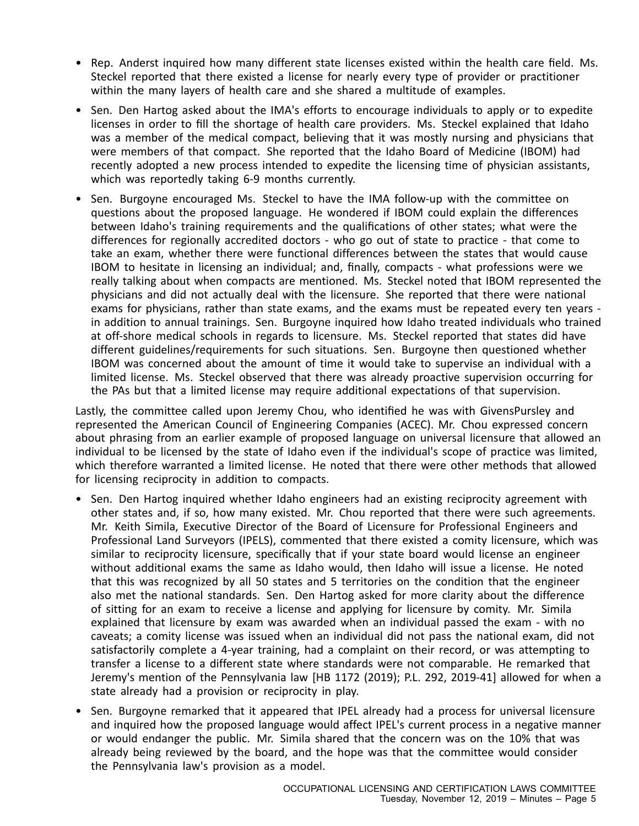- Rep. Anderst inquired how many different state licenses existed within the health care field. Ms. Steckel reported that there existed <sup>a</sup> license for nearly every type of provider or practitioner within the many layers of health care and she shared <sup>a</sup> multitude of examples.
- Sen. Den Hartog asked about the IMA's efforts to encourage individuals to apply or to expedite licenses in order to fill the shortage of health care providers. Ms. Steckel explained that Idaho was <sup>a</sup> member of the medical compact, believing that it was mostly nursing and physicians that were members of that compact. She reported that the Idaho Board of Medicine (IBOM) had recently adopted <sup>a</sup> new process intended to expedite the licensing time of physician assistants, which was reportedly taking 6-9 months currently.
- Sen. Burgoyne encouraged Ms. Steckel to have the IMA follow-up with the committee on questions about the proposed language. He wondered if IBOM could explain the differences between Idaho's training requirements and the qualifications of other states; what were the differences for regionally accredited doctors - who go out of state to practice - that come to take an exam, whether there were functional differences between the states that would cause IBOM to hesitate in licensing an individual; and, finally, compacts - what professions were we really talking about when compacts are mentioned. Ms. Steckel noted that IBOM represented the physicians and did not actually deal with the licensure. She reported that there were national exams for physicians, rather than state exams, and the exams must be repeated every ten years in addition to annual trainings. Sen. Burgoyne inquired how Idaho treated individuals who trained at off-shore medical schools in regards to licensure. Ms. Steckel reported that states did have different guidelines/requirements for such situations. Sen. Burgoyne then questioned whether IBOM was concerned about the amount of time it would take to supervise an individual with <sup>a</sup> limited license. Ms. Steckel observed that there was already proactive supervision occurring for the PAs but that <sup>a</sup> limited license may require additional expectations of that supervision.

Lastly, the committee called upon Jeremy Chou, who identified he was with GivensPursley and represented the American Council of Engineering Companies (ACEC). Mr. Chou expressed concern about phrasing from an earlier example of proposed language on universal licensure that allowed an individual to be licensed by the state of Idaho even if the individual's scope of practice was limited, which therefore warranted <sup>a</sup> limited license. He noted that there were other methods that allowed for licensing reciprocity in addition to compacts.

- Sen. Den Hartog inquired whether Idaho engineers had an existing reciprocity agreement with other states and, if so, how many existed. Mr. Chou reported that there were such agreements. Mr. Keith Simila, Executive Director of the Board of Licensure for Professional Engineers and Professional Land Surveyors (IPELS), commented that there existed <sup>a</sup> comity licensure, which was similar to reciprocity licensure, specifically that if your state board would license an engineer without additional exams the same as Idaho would, then Idaho will issue <sup>a</sup> license. He noted that this was recognized by all 50 states and 5 territories on the condition that the engineer also met the national standards. Sen. Den Hartog asked for more clarity about the difference of sitting for an exam to receive <sup>a</sup> license and applying for licensure by comity. Mr. Simila explained that licensure by exam was awarded when an individual passed the exam - with no caveats; <sup>a</sup> comity license was issued when an individual did not pass the national exam, did not satisfactorily complete <sup>a</sup> 4-year training, had <sup>a</sup> complaint on their record, or was attempting to transfer <sup>a</sup> license to <sup>a</sup> different state where standards were not comparable. He remarked that Jeremy's mention of the Pennsylvania law [HB 1172 (2019); P.L. 292, 2019-41] allowed for when <sup>a</sup> state already had <sup>a</sup> provision or reciprocity in play.
- Sen. Burgoyne remarked that it appeared that IPEL already had <sup>a</sup> process for universal licensure and inquired how the proposed language would affect IPEL's current process in <sup>a</sup> negative manner or would endanger the public. Mr. Simila shared that the concern was on the 10% that was already being reviewed by the board, and the hope was that the committee would consider the Pennsylvania law's provision as <sup>a</sup> model.